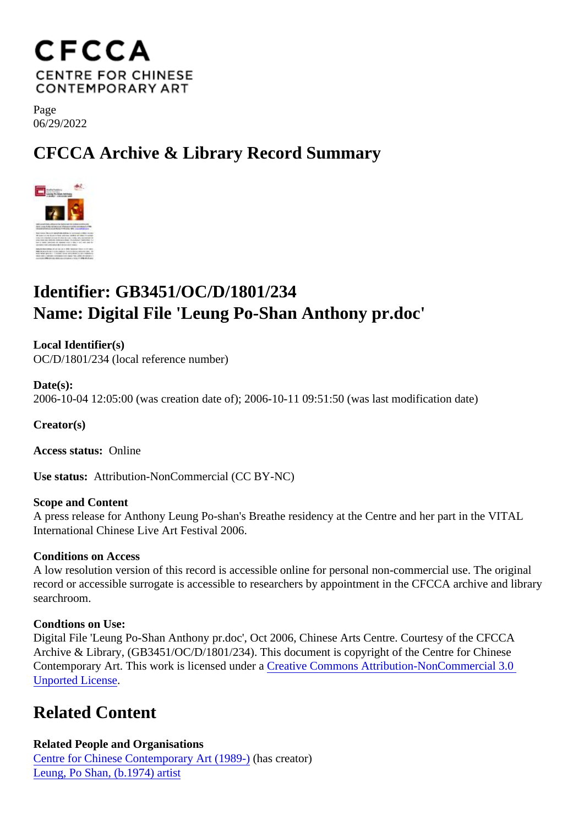Page 06/29/2022

## CFCCA Archive & Library Record Summary

## Identifier: GB3451/OC/D/1801/234 Name: Digital File 'Leung Po-Shan Anthony pr.doc'

Local Identifier(s) OC/D/1801/234 (local reference number)

Date(s): 2006-10-04 12:05:00 (was creation date of); 2006-10-11 09:51:50 (was last modification date)

Creator(s)

Access status: Online

Use status: Attribution-NonCommercial (CC BY-NC)

Scope and Content A press release for Anthony Leung Po-shan's Breathe residency at the Centre and her part in the VITAL International Chinese Live Art Festival 2006.

Conditions on Access

A low resolution version of this record is accessible online for personal non-commercial use. The original record or accessible surrogate is accessible to researchers by appointment in the CFCCA archive and libr searchroom.

Condtions on Use:

Digital File 'Leung Po-Shan Anthony pr.doc', Oct 2006, Chinese Arts Centre. Courtesy of the CFCCA Archive & Library, (GB3451/OC/D/1801/234). This document is copyright of the Centre for Chinese Contemporary Art. This work is licensed under ative Commons Attribution-NonCommercial 3.0 [Unported Licens](https://creativecommons.org/licenses/by-nc/3.0/)e[.](https://creativecommons.org/licenses/by-nc/3.0/)

## Related Content

Related People and Organisations [Centre for Chinese Contemporary Art \(198](/index.php/Detail/entities/2)9-)(has creator) [Leung, Po Shan, \(b.1974\) ar](/index.php/Detail/entities/246)tist